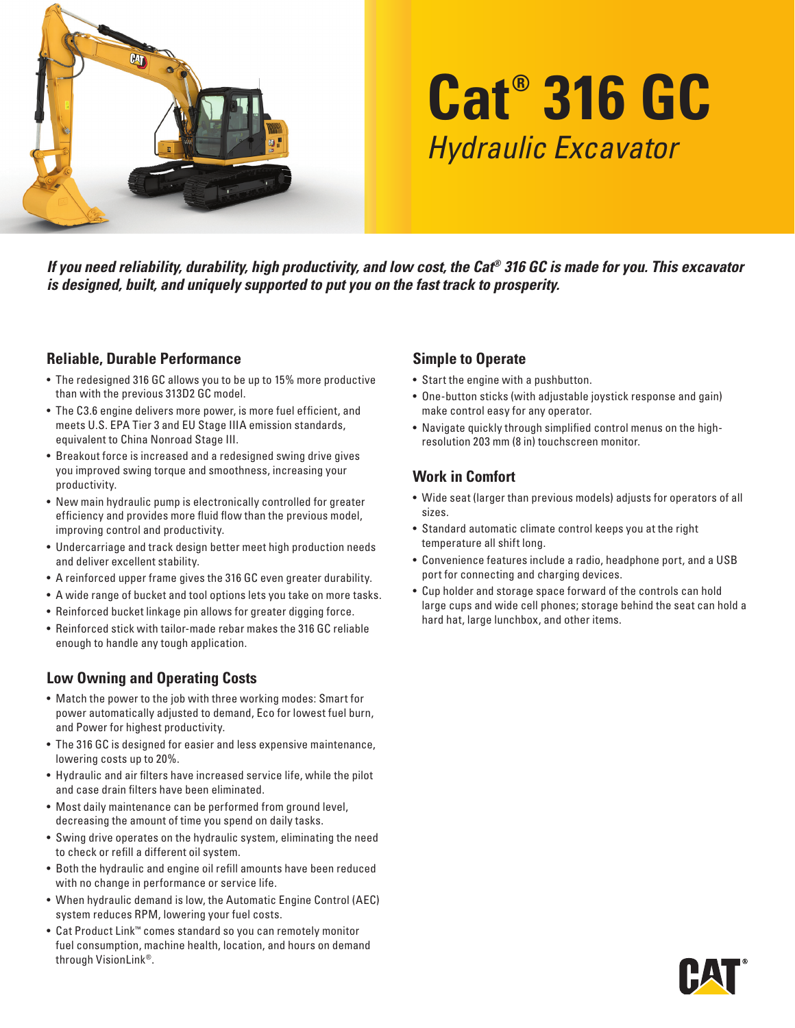

# **Cat® 316 GC** *Hydraulic Excavator*

*If you need reliability, durability, high productivity, and low cost, the Cat® 316 GC is made for you. This excavator is designed, built, and uniquely supported to put you on the fast track to prosperity.*

## **Reliable, Durable Performance**

- The redesigned 316 GC allows you to be up to 15% more productive than with the previous 313D2 GC model.
- The C3.6 engine delivers more power, is more fuel efficient, and meets U.S. EPA Tier 3 and EU Stage IIIA emission standards, equivalent to China Nonroad Stage III.
- Breakout force is increased and a redesigned swing drive gives you improved swing torque and smoothness, increasing your productivity.
- New main hydraulic pump is electronically controlled for greater efficiency and provides more fluid flow than the previous model, improving control and productivity.
- Undercarriage and track design better meet high production needs and deliver excellent stability.
- A reinforced upper frame gives the 316 GC even greater durability.
- A wide range of bucket and tool options lets you take on more tasks.
- Reinforced bucket linkage pin allows for greater digging force.
- Reinforced stick with tailor-made rebar makes the 316 GC reliable enough to handle any tough application.

## **Low Owning and Operating Costs**

- Match the power to the job with three working modes: Smart for power automatically adjusted to demand, Eco for lowest fuel burn, and Power for highest productivity.
- The 316 GC is designed for easier and less expensive maintenance, lowering costs up to 20%.
- Hydraulic and air filters have increased service life, while the pilot and case drain filters have been eliminated.
- Most daily maintenance can be performed from ground level, decreasing the amount of time you spend on daily tasks.
- Swing drive operates on the hydraulic system, eliminating the need to check or refill a different oil system.
- Both the hydraulic and engine oil refill amounts have been reduced with no change in performance or service life.
- When hydraulic demand is low, the Automatic Engine Control (AEC) system reduces RPM, lowering your fuel costs.
- Cat Product Link™ comes standard so you can remotely monitor fuel consumption, machine health, location, and hours on demand through VisionLink®.

### **Simple to Operate**

- Start the engine with a pushbutton.
- One-button sticks (with adjustable joystick response and gain) make control easy for any operator.
- Navigate quickly through simplified control menus on the highresolution 203 mm (8 in) touchscreen monitor.

## **Work in Comfort**

- Wide seat (larger than previous models) adjusts for operators of all sizes.
- Standard automatic climate control keeps you at the right temperature all shift long.
- Convenience features include a radio, headphone port, and a USB port for connecting and charging devices.
- Cup holder and storage space forward of the controls can hold large cups and wide cell phones; storage behind the seat can hold a hard hat, large lunchbox, and other items.

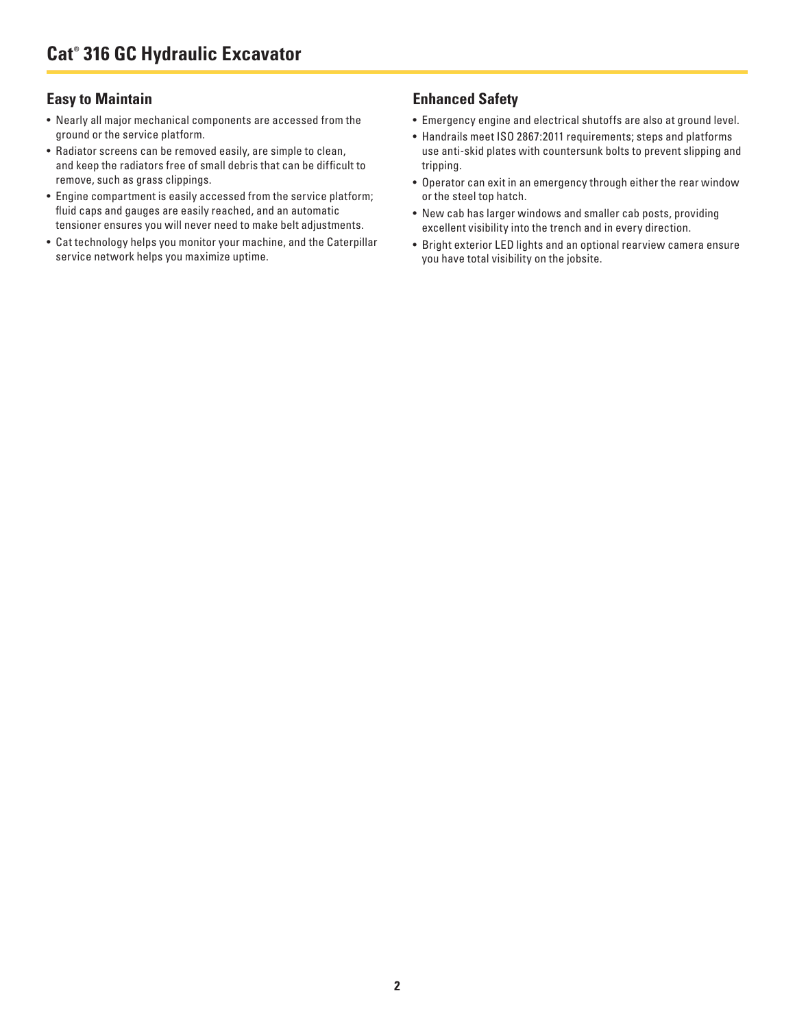#### **Easy to Maintain**

- Nearly all major mechanical components are accessed from the ground or the service platform.
- Radiator screens can be removed easily, are simple to clean, and keep the radiators free of small debris that can be difficult to remove, such as grass clippings.
- Engine compartment is easily accessed from the service platform; fluid caps and gauges are easily reached, and an automatic tensioner ensures you will never need to make belt adjustments.
- Cat technology helps you monitor your machine, and the Caterpillar service network helps you maximize uptime.

#### **Enhanced Safety**

- Emergency engine and electrical shutoffs are also at ground level.
- Handrails meet ISO 2867:2011 requirements; steps and platforms use anti-skid plates with countersunk bolts to prevent slipping and tripping.
- Operator can exit in an emergency through either the rear window or the steel top hatch.
- New cab has larger windows and smaller cab posts, providing excellent visibility into the trench and in every direction.
- Bright exterior LED lights and an optional rearview camera ensure you have total visibility on the jobsite.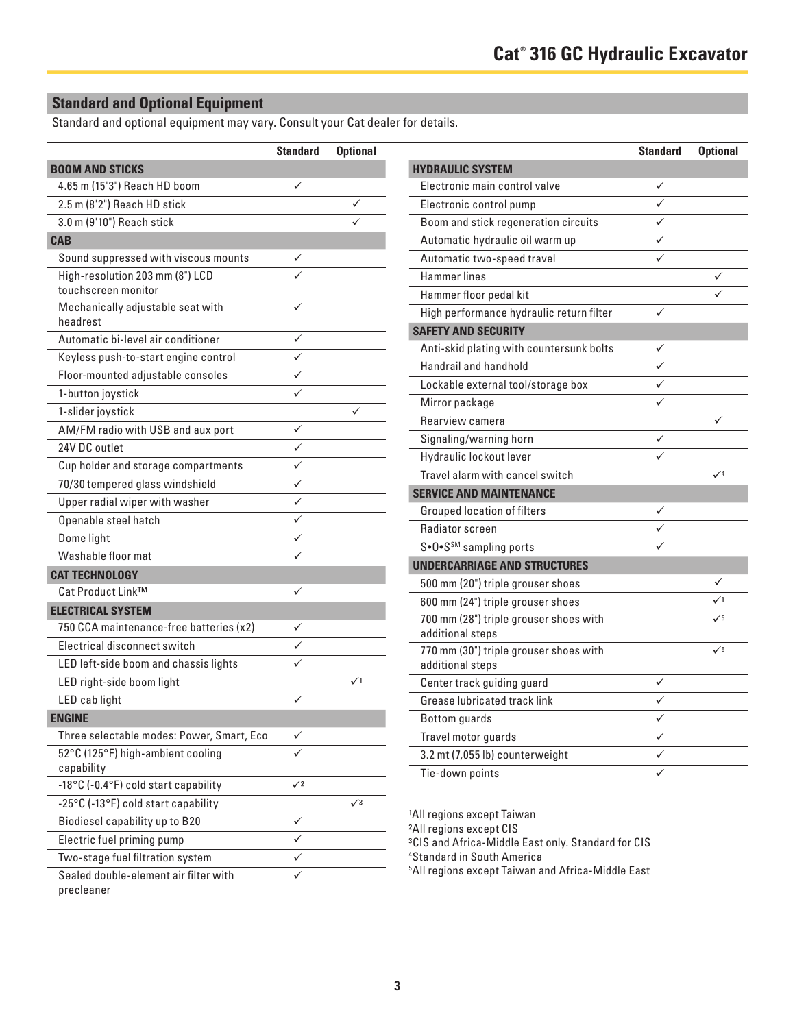## **Standard and Optional Equipment**

Standard and optional equipment may vary. Consult your Cat dealer for details.

|                                                        | <b>Standard</b> | <b>Optional</b> |
|--------------------------------------------------------|-----------------|-----------------|
| <b>BOOM AND STICKS</b>                                 |                 |                 |
| 4.65 m (15'3") Reach HD boom                           | ✓               |                 |
| 2.5 m (8'2") Reach HD stick                            |                 |                 |
| 3.0 m (9'10") Reach stick                              |                 |                 |
| <b>CAB</b>                                             |                 |                 |
| Sound suppressed with viscous mounts                   | ✓               |                 |
| High-resolution 203 mm (8") LCD<br>touchscreen monitor |                 |                 |
| Mechanically adjustable seat with<br>headrest          |                 |                 |
| Automatic bi-level air conditioner                     | ✓               |                 |
| Keyless push-to-start engine control                   |                 |                 |
| Floor-mounted adjustable consoles                      | ✓               |                 |
| 1-button joystick                                      |                 |                 |
| 1-slider joystick                                      |                 |                 |
| AM/FM radio with USB and aux port                      | ✓               |                 |
| 24V DC outlet                                          | ✓               |                 |
| Cup holder and storage compartments                    | ✓               |                 |
| 70/30 tempered glass windshield                        |                 |                 |
| Upper radial wiper with washer                         | ✓               |                 |
| Openable steel hatch                                   | ✓               |                 |
| Dome light                                             | ✓               |                 |
| Washable floor mat                                     |                 |                 |
| <b>CAT TECHNOLOGY</b>                                  |                 |                 |
| Cat Product Link™                                      | ✓               |                 |
| <b>ELECTRICAL SYSTEM</b>                               |                 |                 |
| 750 CCA maintenance-free batteries (x2)                |                 |                 |
| Electrical disconnect switch                           |                 |                 |
| LED left-side boom and chassis lights                  |                 |                 |
| LED right-side boom light                              |                 | $\checkmark$    |
| LED cab light                                          | ✓               |                 |
| <b>ENGINE</b>                                          |                 |                 |
| Three selectable modes: Power, Smart, Eco              | ✓               |                 |
| 52°C (125°F) high-ambient cooling<br>capability        |                 |                 |
| -18°C (-0.4°F) cold start capability                   | $\sqrt{2}$      |                 |
| -25°C (-13°F) cold start capability                    |                 | $\sqrt{3}$      |
| Biodiesel capability up to B20                         | ✓               |                 |
| Electric fuel priming pump                             | ✓               |                 |
| Two-stage fuel filtration system                       | ✓               |                 |
| Sealed double-element air filter with<br>precleaner    |                 |                 |

| <b>Standard</b> | <b>Optional</b> |                                          | <b>Standard</b> | <b>Optional</b> |
|-----------------|-----------------|------------------------------------------|-----------------|-----------------|
|                 |                 | <b>HYDRAULIC SYSTEM</b>                  |                 |                 |
| ✓               |                 | Electronic main control valve            | ✓               |                 |
|                 | ✓               | Electronic control pump                  |                 |                 |
|                 | ✓               | Boom and stick regeneration circuits     | ✓               |                 |
|                 |                 | Automatic hydraulic oil warm up          | ✓               |                 |
| ✓               |                 | Automatic two-speed travel               | ✓               |                 |
|                 |                 | <b>Hammer lines</b>                      |                 | ✓               |
|                 |                 | Hammer floor pedal kit                   |                 | ✓               |
|                 |                 | High performance hydraulic return filter | ✓               |                 |
| ✓               |                 | <b>SAFETY AND SECURITY</b>               |                 |                 |
| ✓               |                 | Anti-skid plating with countersunk bolts |                 |                 |
|                 |                 | Handrail and handhold                    |                 |                 |
| ✓               |                 | Lockable external tool/storage box       | ✓               |                 |
| ✓               |                 | Mirror package                           | ✓               |                 |
| ✓               | ✓               | Rearview camera                          |                 | ✓               |
|                 |                 | Signaling/warning horn                   | ✓               |                 |
| ✓               |                 | Hydraulic lockout lever                  | $\checkmark$    |                 |
| ✓<br>✓          |                 | Travel alarm with cancel switch          |                 | $\sqrt{4}$      |
|                 |                 | <b>SERVICE AND MAINTENANCE</b>           |                 |                 |
| ✓               |                 | <b>Grouped location of filters</b>       |                 |                 |
| ✓               |                 | Radiator screen                          |                 |                 |
| ✓               |                 | S•O•S <sup>SM</sup> sampling ports       |                 |                 |
| ✓               |                 | <b>UNDERCARRIAGE AND STRUCTURES</b>      |                 |                 |
|                 |                 | 500 mm (20") triple grouser shoes        |                 | ✓               |
| ✓               |                 | 600 mm (24") triple grouser shoes        |                 | $\checkmark$    |
|                 |                 | 700 mm (28") triple grouser shoes with   |                 | $\sqrt{5}$      |
|                 |                 | additional steps                         |                 |                 |
|                 |                 | 770 mm (30") triple grouser shoes with   |                 | $\checkmark$    |
|                 | $\checkmark$    | additional steps                         |                 |                 |
|                 |                 | Center track guiding guard               | ✓               |                 |
| ✓               |                 | Grease lubricated track link             | ✓               |                 |
|                 |                 | <b>Bottom</b> guards                     | ✓               |                 |
|                 |                 | Travel motor guards                      | ✓               |                 |
|                 |                 | 3.2 mt (7,055 lb) counterweight          | ✓               |                 |
|                 |                 | Tie-down points                          | $\checkmark$    |                 |

1All regions except Taiwan

2All regions except CIS

3CIS and Africa-Middle East only. Standard for CIS

4 Standard in South America

5 All regions except Taiwan and Africa-Middle East